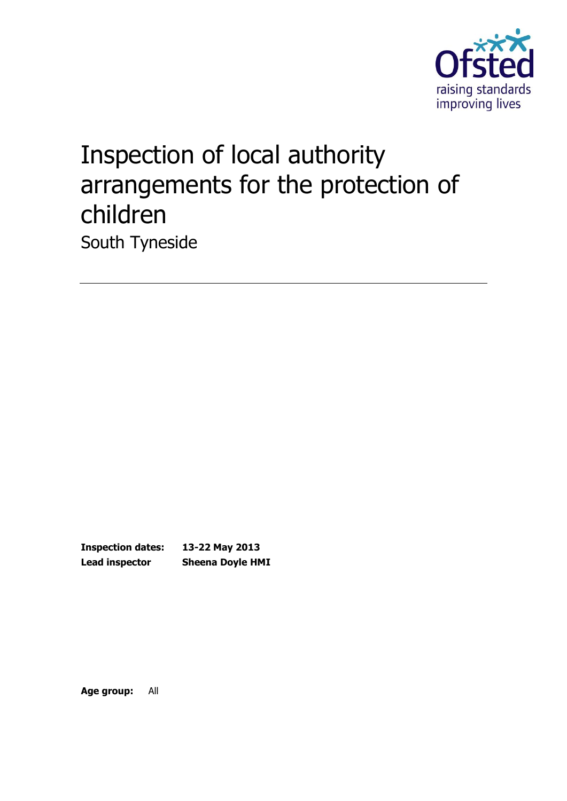

# Inspection of local authority arrangements for the protection of children South Tyneside

**Inspection dates: 13-22 May 2013 Lead inspector Sheena Doyle HMI**

**Age group:** All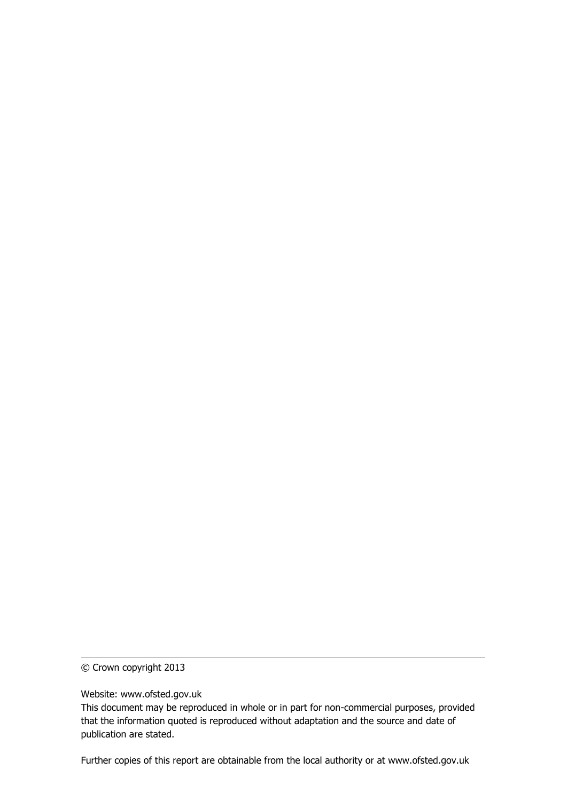© Crown copyright 2013

Website: www.ofsted.gov.uk

This document may be reproduced in whole or in part for non-commercial purposes, provided that the information quoted is reproduced without adaptation and the source and date of publication are stated.

Further copies of this report are obtainable from the local authority or at www.ofsted.gov.uk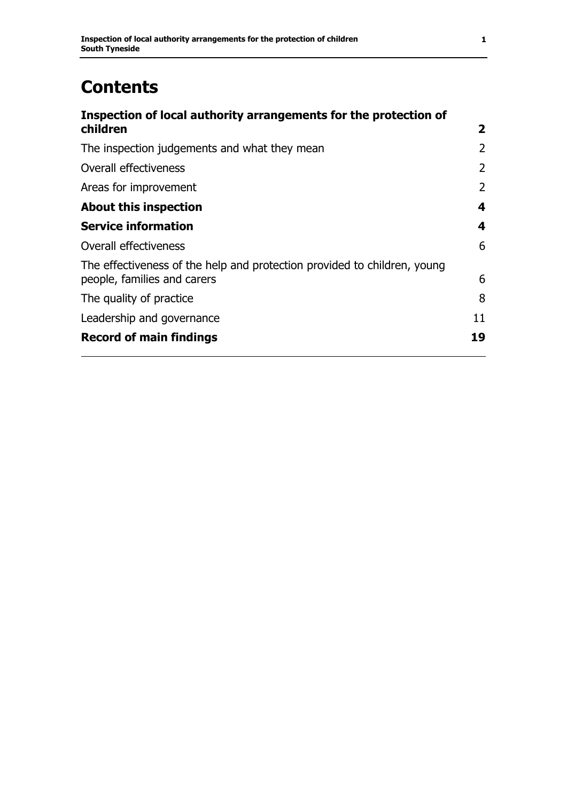# **Contents**

| Inspection of local authority arrangements for the protection of                                        |                |
|---------------------------------------------------------------------------------------------------------|----------------|
| children                                                                                                | $\mathbf{2}$   |
| The inspection judgements and what they mean                                                            | $\overline{2}$ |
| Overall effectiveness                                                                                   | $\overline{2}$ |
| Areas for improvement                                                                                   | $\overline{2}$ |
| <b>About this inspection</b>                                                                            | 4              |
| <b>Service information</b>                                                                              | 4              |
| Overall effectiveness                                                                                   | 6              |
| The effectiveness of the help and protection provided to children, young<br>people, families and carers | 6              |
| The quality of practice                                                                                 | 8              |
| Leadership and governance                                                                               | 11             |
| <b>Record of main findings</b>                                                                          | 19             |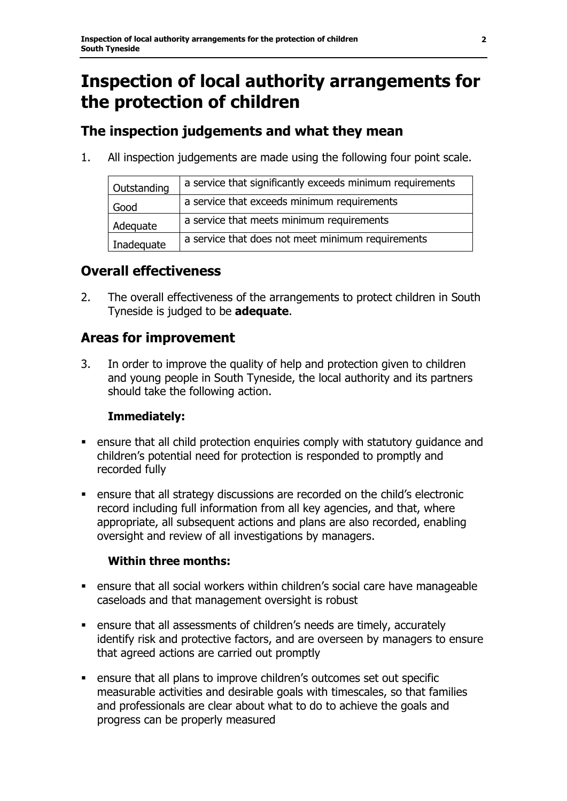# **Inspection of local authority arrangements for the protection of children**

### **The inspection judgements and what they mean**

1. All inspection judgements are made using the following four point scale.

| Outstanding | a service that significantly exceeds minimum requirements |
|-------------|-----------------------------------------------------------|
| Good        | a service that exceeds minimum requirements               |
| Adequate    | a service that meets minimum requirements                 |
| Inadequate  | a service that does not meet minimum requirements         |

### **Overall effectiveness**

2. The overall effectiveness of the arrangements to protect children in South Tyneside is judged to be **adequate**.

### **Areas for improvement**

3. In order to improve the quality of help and protection given to children and young people in South Tyneside, the local authority and its partners should take the following action.

### **Immediately:**

- ensure that all child protection enquiries comply with statutory guidance and children's potential need for protection is responded to promptly and recorded fully
- ensure that all strategy discussions are recorded on the child's electronic record including full information from all key agencies, and that, where appropriate, all subsequent actions and plans are also recorded, enabling oversight and review of all investigations by managers.

### **Within three months:**

- ensure that all social workers within children's social care have manageable caseloads and that management oversight is robust
- ensure that all assessments of children's needs are timely, accurately identify risk and protective factors, and are overseen by managers to ensure that agreed actions are carried out promptly
- ensure that all plans to improve children's outcomes set out specific measurable activities and desirable goals with timescales, so that families and professionals are clear about what to do to achieve the goals and progress can be properly measured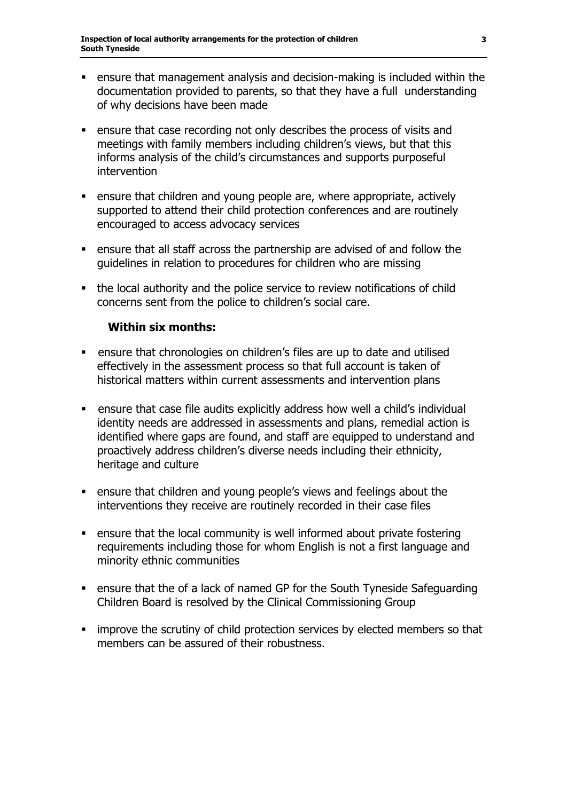- ensure that management analysis and decision-making is included within the documentation provided to parents, so that they have a full understanding of why decisions have been made
- ensure that case recording not only describes the process of visits and meetings with family members including children's views, but that this informs analysis of the child's circumstances and supports purposeful intervention
- ensure that children and young people are, where appropriate, actively supported to attend their child protection conferences and are routinely encouraged to access advocacy services
- ensure that all staff across the partnership are advised of and follow the guidelines in relation to procedures for children who are missing
- the local authority and the police service to review notifications of child concerns sent from the police to children's social care.

#### **Within six months:**

- ensure that chronologies on children's files are up to date and utilised effectively in the assessment process so that full account is taken of historical matters within current assessments and intervention plans
- ensure that case file audits explicitly address how well a child's individual identity needs are addressed in assessments and plans, remedial action is identified where gaps are found, and staff are equipped to understand and proactively address children's diverse needs including their ethnicity, heritage and culture
- ensure that children and young people's views and feelings about the interventions they receive are routinely recorded in their case files
- ensure that the local community is well informed about private fostering requirements including those for whom English is not a first language and minority ethnic communities
- ensure that the of a lack of named GP for the South Tyneside Safeguarding Children Board is resolved by the Clinical Commissioning Group
- **EX improve the scrutiny of child protection services by elected members so that** members can be assured of their robustness.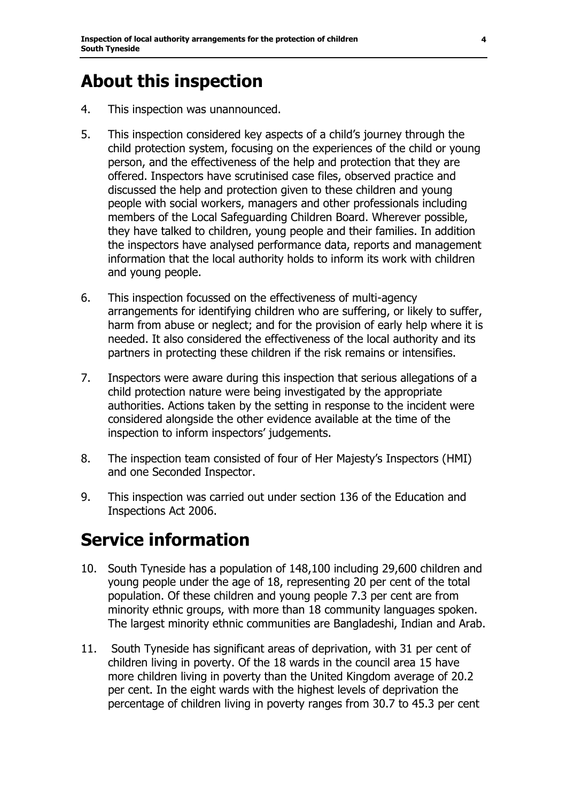# **About this inspection**

- 4. This inspection was unannounced.
- 5. This inspection considered key aspects of a child's journey through the child protection system, focusing on the experiences of the child or young person, and the effectiveness of the help and protection that they are offered. Inspectors have scrutinised case files, observed practice and discussed the help and protection given to these children and young people with social workers, managers and other professionals including members of the Local Safeguarding Children Board. Wherever possible, they have talked to children, young people and their families. In addition the inspectors have analysed performance data, reports and management information that the local authority holds to inform its work with children and young people.
- 6. This inspection focussed on the effectiveness of multi-agency arrangements for identifying children who are suffering, or likely to suffer, harm from abuse or neglect; and for the provision of early help where it is needed. It also considered the effectiveness of the local authority and its partners in protecting these children if the risk remains or intensifies.
- 7. Inspectors were aware during this inspection that serious allegations of a child protection nature were being investigated by the appropriate authorities. Actions taken by the setting in response to the incident were considered alongside the other evidence available at the time of the inspection to inform inspectors' judgements.
- 8. The inspection team consisted of four of Her Majesty's Inspectors (HMI) and one Seconded Inspector.
- 9. This inspection was carried out under section 136 of the Education and Inspections Act 2006.

# **Service information**

- 10. South Tyneside has a population of 148,100 including 29,600 children and young people under the age of 18, representing 20 per cent of the total population. Of these children and young people 7.3 per cent are from minority ethnic groups, with more than 18 community languages spoken. The largest minority ethnic communities are Bangladeshi, Indian and Arab.
- 11. South Tyneside has significant areas of deprivation, with 31 per cent of children living in poverty. Of the 18 wards in the council area 15 have more children living in poverty than the United Kingdom average of 20.2 per cent. In the eight wards with the highest levels of deprivation the percentage of children living in poverty ranges from 30.7 to 45.3 per cent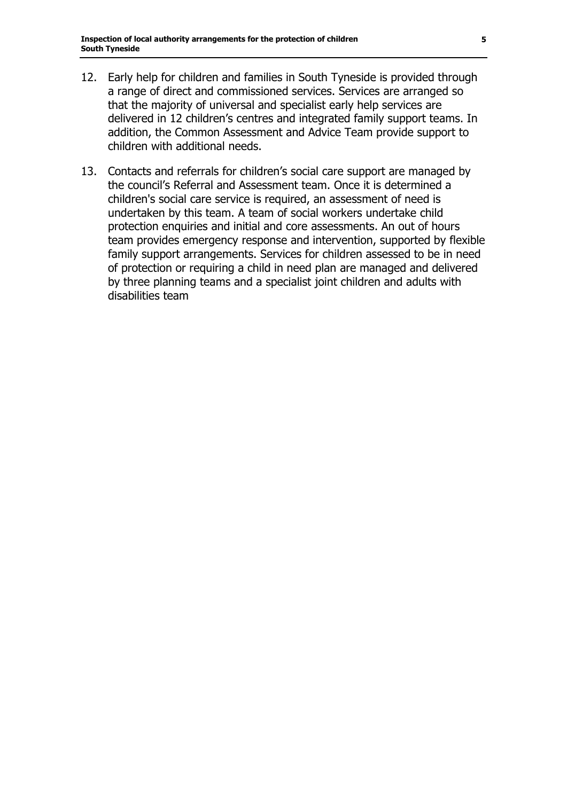- 12. Early help for children and families in South Tyneside is provided through a range of direct and commissioned services. Services are arranged so that the majority of universal and specialist early help services are delivered in 12 children's centres and integrated family support teams. In addition, the Common Assessment and Advice Team provide support to children with additional needs.
- 13. Contacts and referrals for children's social care support are managed by the council's Referral and Assessment team. Once it is determined a children's social care service is required, an assessment of need is undertaken by this team. A team of social workers undertake child protection enquiries and initial and core assessments. An out of hours team provides emergency response and intervention, supported by flexible family support arrangements. Services for children assessed to be in need of protection or requiring a child in need plan are managed and delivered by three planning teams and a specialist joint children and adults with disabilities team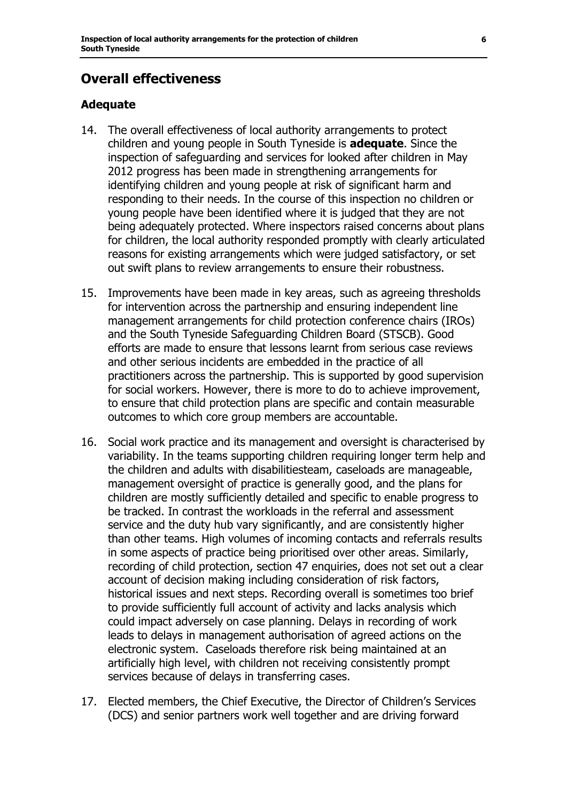## **Overall effectiveness**

#### **Adequate**

- 14. The overall effectiveness of local authority arrangements to protect children and young people in South Tyneside is **adequate**. Since the inspection of safeguarding and services for looked after children in May 2012 progress has been made in strengthening arrangements for identifying children and young people at risk of significant harm and responding to their needs. In the course of this inspection no children or young people have been identified where it is judged that they are not being adequately protected. Where inspectors raised concerns about plans for children, the local authority responded promptly with clearly articulated reasons for existing arrangements which were judged satisfactory, or set out swift plans to review arrangements to ensure their robustness.
- 15. Improvements have been made in key areas, such as agreeing thresholds for intervention across the partnership and ensuring independent line management arrangements for child protection conference chairs (IROs) and the South Tyneside Safeguarding Children Board (STSCB). Good efforts are made to ensure that lessons learnt from serious case reviews and other serious incidents are embedded in the practice of all practitioners across the partnership. This is supported by good supervision for social workers. However, there is more to do to achieve improvement, to ensure that child protection plans are specific and contain measurable outcomes to which core group members are accountable.
- 16. Social work practice and its management and oversight is characterised by variability. In the teams supporting children requiring longer term help and the children and adults with disabilitiesteam, caseloads are manageable, management oversight of practice is generally good, and the plans for children are mostly sufficiently detailed and specific to enable progress to be tracked. In contrast the workloads in the referral and assessment service and the duty hub vary significantly, and are consistently higher than other teams. High volumes of incoming contacts and referrals results in some aspects of practice being prioritised over other areas. Similarly, recording of child protection, section 47 enquiries, does not set out a clear account of decision making including consideration of risk factors, historical issues and next steps. Recording overall is sometimes too brief to provide sufficiently full account of activity and lacks analysis which could impact adversely on case planning. Delays in recording of work leads to delays in management authorisation of agreed actions on the electronic system. Caseloads therefore risk being maintained at an artificially high level, with children not receiving consistently prompt services because of delays in transferring cases.
- 17. Elected members, the Chief Executive, the Director of Children's Services (DCS) and senior partners work well together and are driving forward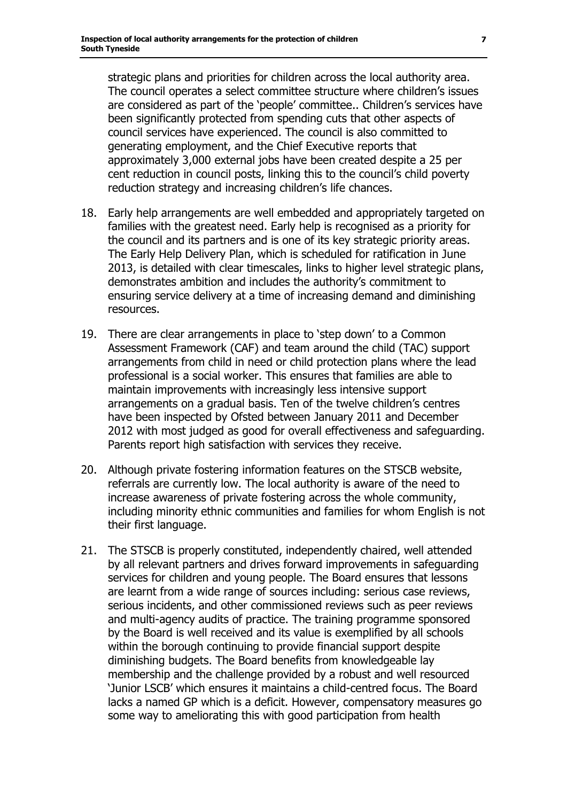strategic plans and priorities for children across the local authority area. The council operates a select committee structure where children's issues are considered as part of the 'people' committee.. Children's services have been significantly protected from spending cuts that other aspects of council services have experienced. The council is also committed to generating employment, and the Chief Executive reports that approximately 3,000 external jobs have been created despite a 25 per cent reduction in council posts, linking this to the council's child poverty reduction strategy and increasing children's life chances.

- 18. Early help arrangements are well embedded and appropriately targeted on families with the greatest need. Early help is recognised as a priority for the council and its partners and is one of its key strategic priority areas. The Early Help Delivery Plan, which is scheduled for ratification in June 2013, is detailed with clear timescales, links to higher level strategic plans, demonstrates ambition and includes the authority's commitment to ensuring service delivery at a time of increasing demand and diminishing resources.
- 19. There are clear arrangements in place to 'step down' to a Common Assessment Framework (CAF) and team around the child (TAC) support arrangements from child in need or child protection plans where the lead professional is a social worker. This ensures that families are able to maintain improvements with increasingly less intensive support arrangements on a gradual basis. Ten of the twelve children's centres have been inspected by Ofsted between January 2011 and December 2012 with most judged as good for overall effectiveness and safeguarding. Parents report high satisfaction with services they receive.
- 20. Although private fostering information features on the STSCB website, referrals are currently low. The local authority is aware of the need to increase awareness of private fostering across the whole community, including minority ethnic communities and families for whom English is not their first language.
- 21. The STSCB is properly constituted, independently chaired, well attended by all relevant partners and drives forward improvements in safeguarding services for children and young people. The Board ensures that lessons are learnt from a wide range of sources including: serious case reviews, serious incidents, and other commissioned reviews such as peer reviews and multi-agency audits of practice. The training programme sponsored by the Board is well received and its value is exemplified by all schools within the borough continuing to provide financial support despite diminishing budgets. The Board benefits from knowledgeable lay membership and the challenge provided by a robust and well resourced 'Junior LSCB' which ensures it maintains a child-centred focus. The Board lacks a named GP which is a deficit. However, compensatory measures go some way to ameliorating this with good participation from health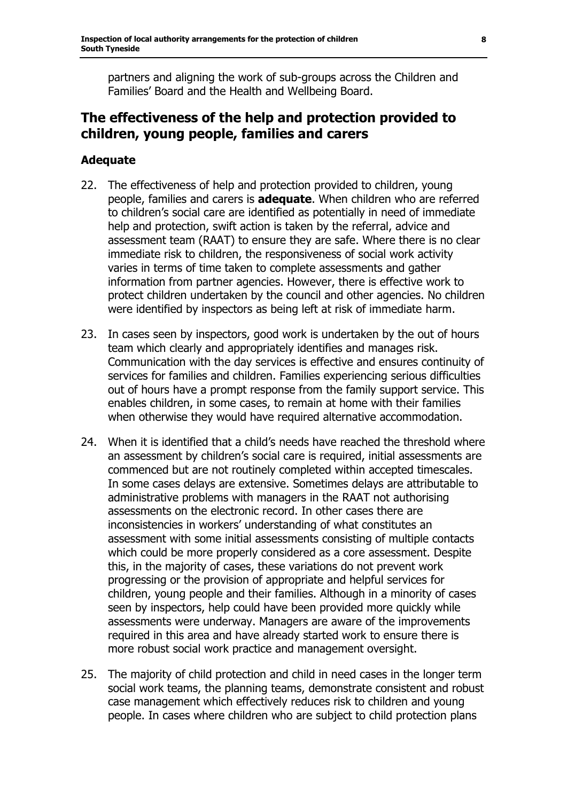partners and aligning the work of sub-groups across the Children and Families' Board and the Health and Wellbeing Board.

### **The effectiveness of the help and protection provided to children, young people, families and carers**

#### **Adequate**

- 22. The effectiveness of help and protection provided to children, young people, families and carers is **adequate**. When children who are referred to children's social care are identified as potentially in need of immediate help and protection, swift action is taken by the referral, advice and assessment team (RAAT) to ensure they are safe. Where there is no clear immediate risk to children, the responsiveness of social work activity varies in terms of time taken to complete assessments and gather information from partner agencies. However, there is effective work to protect children undertaken by the council and other agencies. No children were identified by inspectors as being left at risk of immediate harm.
- 23. In cases seen by inspectors, good work is undertaken by the out of hours team which clearly and appropriately identifies and manages risk. Communication with the day services is effective and ensures continuity of services for families and children. Families experiencing serious difficulties out of hours have a prompt response from the family support service. This enables children, in some cases, to remain at home with their families when otherwise they would have required alternative accommodation.
- 24. When it is identified that a child's needs have reached the threshold where an assessment by children's social care is required, initial assessments are commenced but are not routinely completed within accepted timescales. In some cases delays are extensive. Sometimes delays are attributable to administrative problems with managers in the RAAT not authorising assessments on the electronic record. In other cases there are inconsistencies in workers' understanding of what constitutes an assessment with some initial assessments consisting of multiple contacts which could be more properly considered as a core assessment. Despite this, in the majority of cases, these variations do not prevent work progressing or the provision of appropriate and helpful services for children, young people and their families. Although in a minority of cases seen by inspectors, help could have been provided more quickly while assessments were underway. Managers are aware of the improvements required in this area and have already started work to ensure there is more robust social work practice and management oversight.
- 25. The majority of child protection and child in need cases in the longer term social work teams, the planning teams, demonstrate consistent and robust case management which effectively reduces risk to children and young people. In cases where children who are subject to child protection plans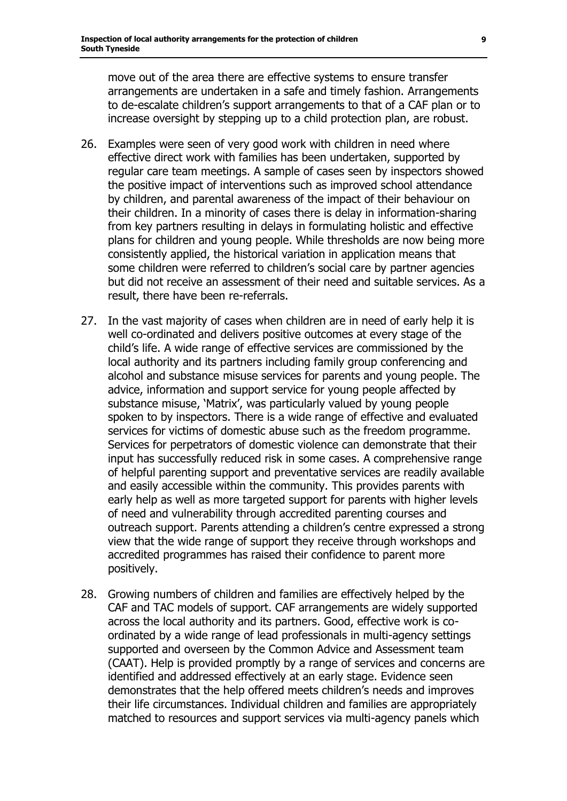move out of the area there are effective systems to ensure transfer arrangements are undertaken in a safe and timely fashion. Arrangements to de-escalate children's support arrangements to that of a CAF plan or to increase oversight by stepping up to a child protection plan, are robust.

- 26. Examples were seen of very good work with children in need where effective direct work with families has been undertaken, supported by regular care team meetings. A sample of cases seen by inspectors showed the positive impact of interventions such as improved school attendance by children, and parental awareness of the impact of their behaviour on their children. In a minority of cases there is delay in information-sharing from key partners resulting in delays in formulating holistic and effective plans for children and young people. While thresholds are now being more consistently applied, the historical variation in application means that some children were referred to children's social care by partner agencies but did not receive an assessment of their need and suitable services. As a result, there have been re-referrals.
- 27. In the vast majority of cases when children are in need of early help it is well co-ordinated and delivers positive outcomes at every stage of the child's life. A wide range of effective services are commissioned by the local authority and its partners including family group conferencing and alcohol and substance misuse services for parents and young people. The advice, information and support service for young people affected by substance misuse, 'Matrix', was particularly valued by young people spoken to by inspectors. There is a wide range of effective and evaluated services for victims of domestic abuse such as the freedom programme. Services for perpetrators of domestic violence can demonstrate that their input has successfully reduced risk in some cases. A comprehensive range of helpful parenting support and preventative services are readily available and easily accessible within the community. This provides parents with early help as well as more targeted support for parents with higher levels of need and vulnerability through accredited parenting courses and outreach support. Parents attending a children's centre expressed a strong view that the wide range of support they receive through workshops and accredited programmes has raised their confidence to parent more positively.
- 28. Growing numbers of children and families are effectively helped by the CAF and TAC models of support. CAF arrangements are widely supported across the local authority and its partners. Good, effective work is coordinated by a wide range of lead professionals in multi-agency settings supported and overseen by the Common Advice and Assessment team (CAAT). Help is provided promptly by a range of services and concerns are identified and addressed effectively at an early stage. Evidence seen demonstrates that the help offered meets children's needs and improves their life circumstances. Individual children and families are appropriately matched to resources and support services via multi-agency panels which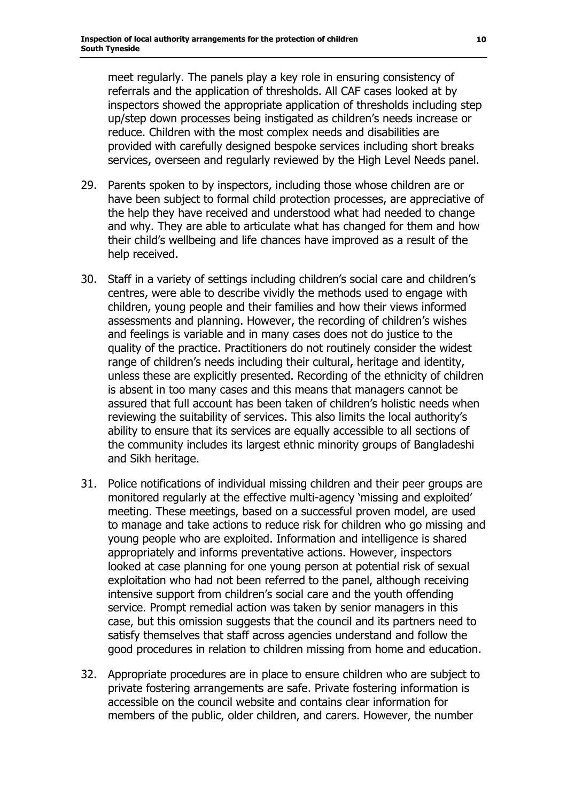meet regularly. The panels play a key role in ensuring consistency of referrals and the application of thresholds. All CAF cases looked at by inspectors showed the appropriate application of thresholds including step up/step down processes being instigated as children's needs increase or reduce. Children with the most complex needs and disabilities are provided with carefully designed bespoke services including short breaks services, overseen and regularly reviewed by the High Level Needs panel.

- 29. Parents spoken to by inspectors, including those whose children are or have been subject to formal child protection processes, are appreciative of the help they have received and understood what had needed to change and why. They are able to articulate what has changed for them and how their child's wellbeing and life chances have improved as a result of the help received.
- 30. Staff in a variety of settings including children's social care and children's centres, were able to describe vividly the methods used to engage with children, young people and their families and how their views informed assessments and planning. However, the recording of children's wishes and feelings is variable and in many cases does not do justice to the quality of the practice. Practitioners do not routinely consider the widest range of children's needs including their cultural, heritage and identity, unless these are explicitly presented. Recording of the ethnicity of children is absent in too many cases and this means that managers cannot be assured that full account has been taken of children's holistic needs when reviewing the suitability of services. This also limits the local authority's ability to ensure that its services are equally accessible to all sections of the community includes its largest ethnic minority groups of Bangladeshi and Sikh heritage.
- 31. Police notifications of individual missing children and their peer groups are monitored regularly at the effective multi-agency 'missing and exploited' meeting. These meetings, based on a successful proven model, are used to manage and take actions to reduce risk for children who go missing and young people who are exploited. Information and intelligence is shared appropriately and informs preventative actions. However, inspectors looked at case planning for one young person at potential risk of sexual exploitation who had not been referred to the panel, although receiving intensive support from children's social care and the youth offending service. Prompt remedial action was taken by senior managers in this case, but this omission suggests that the council and its partners need to satisfy themselves that staff across agencies understand and follow the good procedures in relation to children missing from home and education.
- 32. Appropriate procedures are in place to ensure children who are subject to private fostering arrangements are safe. Private fostering information is accessible on the council website and contains clear information for members of the public, older children, and carers. However, the number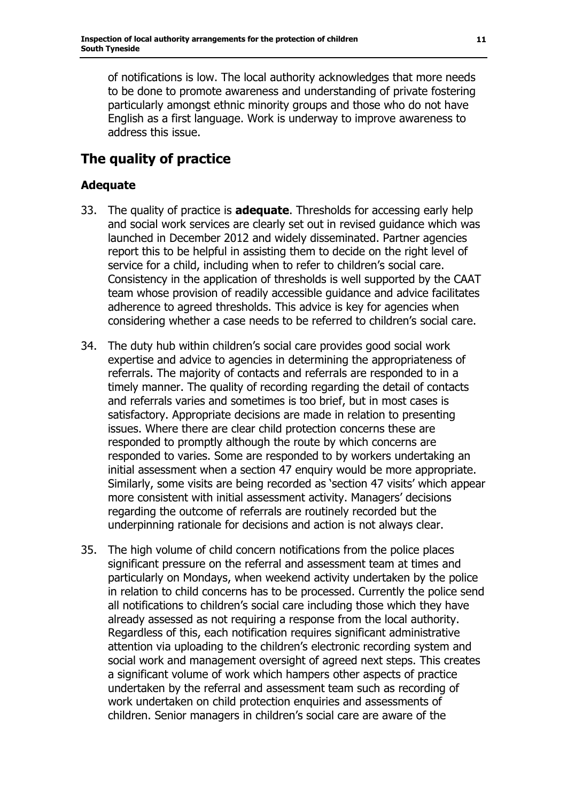of notifications is low. The local authority acknowledges that more needs to be done to promote awareness and understanding of private fostering particularly amongst ethnic minority groups and those who do not have English as a first language. Work is underway to improve awareness to address this issue.

# **The quality of practice**

#### **Adequate**

- 33. The quality of practice is **adequate**. Thresholds for accessing early help and social work services are clearly set out in revised guidance which was launched in December 2012 and widely disseminated. Partner agencies report this to be helpful in assisting them to decide on the right level of service for a child, including when to refer to children's social care. Consistency in the application of thresholds is well supported by the CAAT team whose provision of readily accessible guidance and advice facilitates adherence to agreed thresholds. This advice is key for agencies when considering whether a case needs to be referred to children's social care.
- 34. The duty hub within children's social care provides good social work expertise and advice to agencies in determining the appropriateness of referrals. The majority of contacts and referrals are responded to in a timely manner. The quality of recording regarding the detail of contacts and referrals varies and sometimes is too brief, but in most cases is satisfactory. Appropriate decisions are made in relation to presenting issues. Where there are clear child protection concerns these are responded to promptly although the route by which concerns are responded to varies. Some are responded to by workers undertaking an initial assessment when a section 47 enquiry would be more appropriate. Similarly, some visits are being recorded as 'section 47 visits' which appear more consistent with initial assessment activity. Managers' decisions regarding the outcome of referrals are routinely recorded but the underpinning rationale for decisions and action is not always clear.
- 35. The high volume of child concern notifications from the police places significant pressure on the referral and assessment team at times and particularly on Mondays, when weekend activity undertaken by the police in relation to child concerns has to be processed. Currently the police send all notifications to children's social care including those which they have already assessed as not requiring a response from the local authority. Regardless of this, each notification requires significant administrative attention via uploading to the children's electronic recording system and social work and management oversight of agreed next steps. This creates a significant volume of work which hampers other aspects of practice undertaken by the referral and assessment team such as recording of work undertaken on child protection enquiries and assessments of children. Senior managers in children's social care are aware of the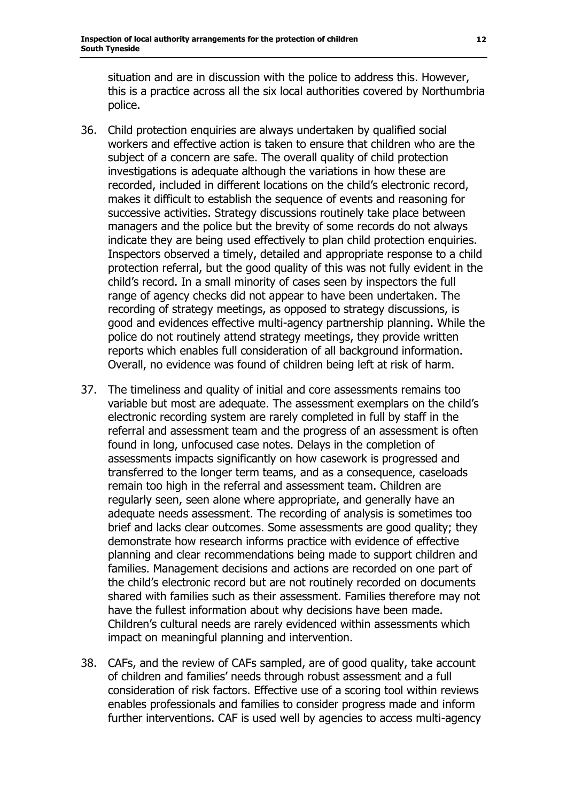situation and are in discussion with the police to address this. However, this is a practice across all the six local authorities covered by Northumbria police.

- 36. Child protection enquiries are always undertaken by qualified social workers and effective action is taken to ensure that children who are the subject of a concern are safe. The overall quality of child protection investigations is adequate although the variations in how these are recorded, included in different locations on the child's electronic record, makes it difficult to establish the sequence of events and reasoning for successive activities. Strategy discussions routinely take place between managers and the police but the brevity of some records do not always indicate they are being used effectively to plan child protection enquiries. Inspectors observed a timely, detailed and appropriate response to a child protection referral, but the good quality of this was not fully evident in the child's record. In a small minority of cases seen by inspectors the full range of agency checks did not appear to have been undertaken. The recording of strategy meetings, as opposed to strategy discussions, is good and evidences effective multi-agency partnership planning. While the police do not routinely attend strategy meetings, they provide written reports which enables full consideration of all background information. Overall, no evidence was found of children being left at risk of harm.
- 37. The timeliness and quality of initial and core assessments remains too variable but most are adequate. The assessment exemplars on the child's electronic recording system are rarely completed in full by staff in the referral and assessment team and the progress of an assessment is often found in long, unfocused case notes. Delays in the completion of assessments impacts significantly on how casework is progressed and transferred to the longer term teams, and as a consequence, caseloads remain too high in the referral and assessment team. Children are regularly seen, seen alone where appropriate, and generally have an adequate needs assessment. The recording of analysis is sometimes too brief and lacks clear outcomes. Some assessments are good quality; they demonstrate how research informs practice with evidence of effective planning and clear recommendations being made to support children and families. Management decisions and actions are recorded on one part of the child's electronic record but are not routinely recorded on documents shared with families such as their assessment. Families therefore may not have the fullest information about why decisions have been made. Children's cultural needs are rarely evidenced within assessments which impact on meaningful planning and intervention.
- 38. CAFs, and the review of CAFs sampled, are of good quality, take account of children and families' needs through robust assessment and a full consideration of risk factors. Effective use of a scoring tool within reviews enables professionals and families to consider progress made and inform further interventions. CAF is used well by agencies to access multi-agency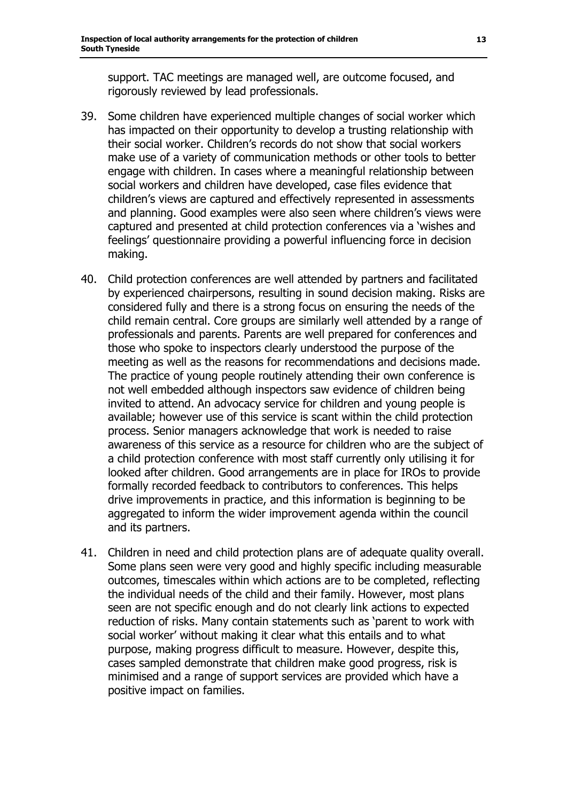support. TAC meetings are managed well, are outcome focused, and rigorously reviewed by lead professionals.

- 39. Some children have experienced multiple changes of social worker which has impacted on their opportunity to develop a trusting relationship with their social worker. Children's records do not show that social workers make use of a variety of communication methods or other tools to better engage with children. In cases where a meaningful relationship between social workers and children have developed, case files evidence that children's views are captured and effectively represented in assessments and planning. Good examples were also seen where children's views were captured and presented at child protection conferences via a 'wishes and feelings' questionnaire providing a powerful influencing force in decision making.
- 40. Child protection conferences are well attended by partners and facilitated by experienced chairpersons, resulting in sound decision making. Risks are considered fully and there is a strong focus on ensuring the needs of the child remain central. Core groups are similarly well attended by a range of professionals and parents. Parents are well prepared for conferences and those who spoke to inspectors clearly understood the purpose of the meeting as well as the reasons for recommendations and decisions made. The practice of young people routinely attending their own conference is not well embedded although inspectors saw evidence of children being invited to attend. An advocacy service for children and young people is available; however use of this service is scant within the child protection process. Senior managers acknowledge that work is needed to raise awareness of this service as a resource for children who are the subject of a child protection conference with most staff currently only utilising it for looked after children. Good arrangements are in place for IROs to provide formally recorded feedback to contributors to conferences. This helps drive improvements in practice, and this information is beginning to be aggregated to inform the wider improvement agenda within the council and its partners.
- 41. Children in need and child protection plans are of adequate quality overall. Some plans seen were very good and highly specific including measurable outcomes, timescales within which actions are to be completed, reflecting the individual needs of the child and their family. However, most plans seen are not specific enough and do not clearly link actions to expected reduction of risks. Many contain statements such as 'parent to work with social worker' without making it clear what this entails and to what purpose, making progress difficult to measure. However, despite this, cases sampled demonstrate that children make good progress, risk is minimised and a range of support services are provided which have a positive impact on families.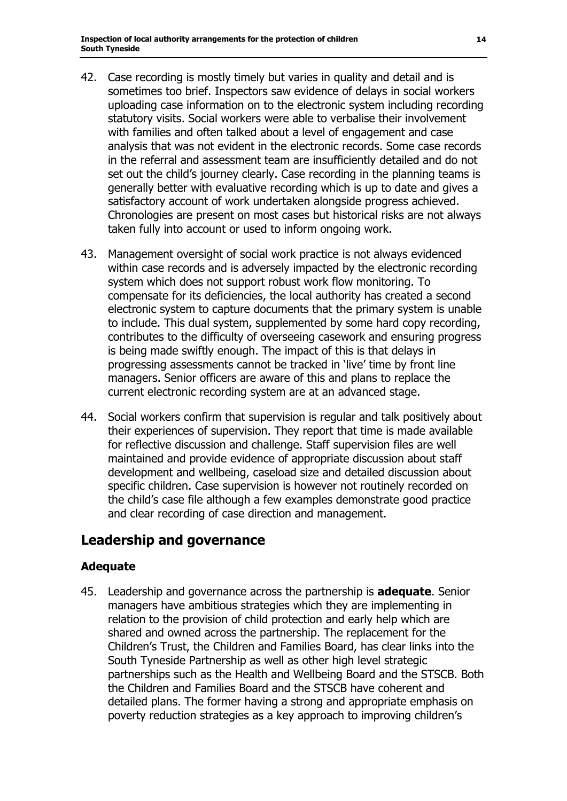- 42. Case recording is mostly timely but varies in quality and detail and is sometimes too brief. Inspectors saw evidence of delays in social workers uploading case information on to the electronic system including recording statutory visits. Social workers were able to verbalise their involvement with families and often talked about a level of engagement and case analysis that was not evident in the electronic records. Some case records in the referral and assessment team are insufficiently detailed and do not set out the child's journey clearly. Case recording in the planning teams is generally better with evaluative recording which is up to date and gives a satisfactory account of work undertaken alongside progress achieved. Chronologies are present on most cases but historical risks are not always taken fully into account or used to inform ongoing work.
- 43. Management oversight of social work practice is not always evidenced within case records and is adversely impacted by the electronic recording system which does not support robust work flow monitoring. To compensate for its deficiencies, the local authority has created a second electronic system to capture documents that the primary system is unable to include. This dual system, supplemented by some hard copy recording, contributes to the difficulty of overseeing casework and ensuring progress is being made swiftly enough. The impact of this is that delays in progressing assessments cannot be tracked in 'live' time by front line managers. Senior officers are aware of this and plans to replace the current electronic recording system are at an advanced stage.
- 44. Social workers confirm that supervision is regular and talk positively about their experiences of supervision. They report that time is made available for reflective discussion and challenge. Staff supervision files are well maintained and provide evidence of appropriate discussion about staff development and wellbeing, caseload size and detailed discussion about specific children. Case supervision is however not routinely recorded on the child's case file although a few examples demonstrate good practice and clear recording of case direction and management.

### **Leadership and governance**

#### **Adequate**

45. Leadership and governance across the partnership is **adequate**. Senior managers have ambitious strategies which they are implementing in relation to the provision of child protection and early help which are shared and owned across the partnership. The replacement for the Children's Trust, the Children and Families Board, has clear links into the South Tyneside Partnership as well as other high level strategic partnerships such as the Health and Wellbeing Board and the STSCB. Both the Children and Families Board and the STSCB have coherent and detailed plans. The former having a strong and appropriate emphasis on poverty reduction strategies as a key approach to improving children's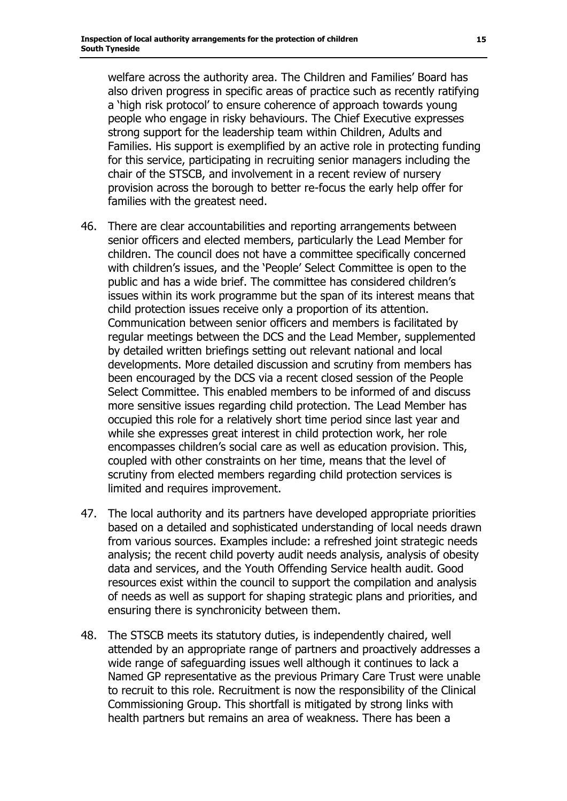welfare across the authority area. The Children and Families' Board has also driven progress in specific areas of practice such as recently ratifying a 'high risk protocol' to ensure coherence of approach towards young people who engage in risky behaviours. The Chief Executive expresses strong support for the leadership team within Children, Adults and Families. His support is exemplified by an active role in protecting funding for this service, participating in recruiting senior managers including the chair of the STSCB, and involvement in a recent review of nursery provision across the borough to better re-focus the early help offer for families with the greatest need.

- 46. There are clear accountabilities and reporting arrangements between senior officers and elected members, particularly the Lead Member for children. The council does not have a committee specifically concerned with children's issues, and the 'People' Select Committee is open to the public and has a wide brief. The committee has considered children's issues within its work programme but the span of its interest means that child protection issues receive only a proportion of its attention. Communication between senior officers and members is facilitated by regular meetings between the DCS and the Lead Member, supplemented by detailed written briefings setting out relevant national and local developments. More detailed discussion and scrutiny from members has been encouraged by the DCS via a recent closed session of the People Select Committee. This enabled members to be informed of and discuss more sensitive issues regarding child protection. The Lead Member has occupied this role for a relatively short time period since last year and while she expresses great interest in child protection work, her role encompasses children's social care as well as education provision. This, coupled with other constraints on her time, means that the level of scrutiny from elected members regarding child protection services is limited and requires improvement.
- 47. The local authority and its partners have developed appropriate priorities based on a detailed and sophisticated understanding of local needs drawn from various sources. Examples include: a refreshed joint strategic needs analysis; the recent child poverty audit needs analysis, analysis of obesity data and services, and the Youth Offending Service health audit. Good resources exist within the council to support the compilation and analysis of needs as well as support for shaping strategic plans and priorities, and ensuring there is synchronicity between them.
- 48. The STSCB meets its statutory duties, is independently chaired, well attended by an appropriate range of partners and proactively addresses a wide range of safeguarding issues well although it continues to lack a Named GP representative as the previous Primary Care Trust were unable to recruit to this role. Recruitment is now the responsibility of the Clinical Commissioning Group. This shortfall is mitigated by strong links with health partners but remains an area of weakness. There has been a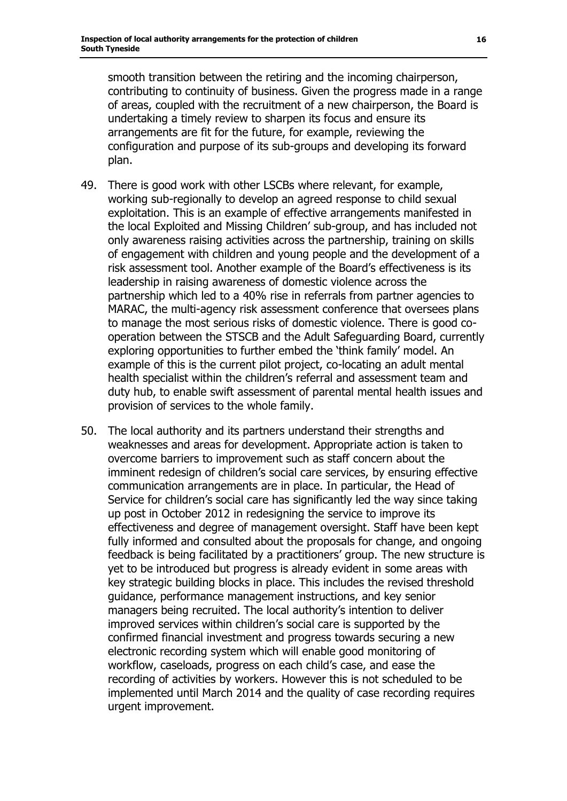smooth transition between the retiring and the incoming chairperson, contributing to continuity of business. Given the progress made in a range of areas, coupled with the recruitment of a new chairperson, the Board is undertaking a timely review to sharpen its focus and ensure its arrangements are fit for the future, for example, reviewing the configuration and purpose of its sub-groups and developing its forward plan.

- 49. There is good work with other LSCBs where relevant, for example, working sub-regionally to develop an agreed response to child sexual exploitation. This is an example of effective arrangements manifested in the local Exploited and Missing Children' sub-group, and has included not only awareness raising activities across the partnership, training on skills of engagement with children and young people and the development of a risk assessment tool. Another example of the Board's effectiveness is its leadership in raising awareness of domestic violence across the partnership which led to a 40% rise in referrals from partner agencies to MARAC, the multi-agency risk assessment conference that oversees plans to manage the most serious risks of domestic violence. There is good cooperation between the STSCB and the Adult Safeguarding Board, currently exploring opportunities to further embed the 'think family' model. An example of this is the current pilot project, co-locating an adult mental health specialist within the children's referral and assessment team and duty hub, to enable swift assessment of parental mental health issues and provision of services to the whole family.
- 50. The local authority and its partners understand their strengths and weaknesses and areas for development. Appropriate action is taken to overcome barriers to improvement such as staff concern about the imminent redesign of children's social care services, by ensuring effective communication arrangements are in place. In particular, the Head of Service for children's social care has significantly led the way since taking up post in October 2012 in redesigning the service to improve its effectiveness and degree of management oversight. Staff have been kept fully informed and consulted about the proposals for change, and ongoing feedback is being facilitated by a practitioners' group. The new structure is yet to be introduced but progress is already evident in some areas with key strategic building blocks in place. This includes the revised threshold guidance, performance management instructions, and key senior managers being recruited. The local authority's intention to deliver improved services within children's social care is supported by the confirmed financial investment and progress towards securing a new electronic recording system which will enable good monitoring of workflow, caseloads, progress on each child's case, and ease the recording of activities by workers. However this is not scheduled to be implemented until March 2014 and the quality of case recording requires urgent improvement.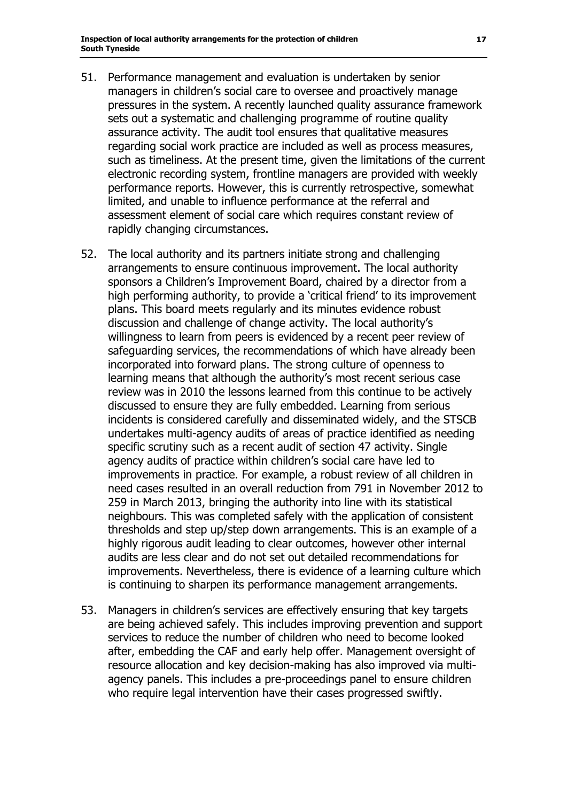- 51. Performance management and evaluation is undertaken by senior managers in children's social care to oversee and proactively manage pressures in the system. A recently launched quality assurance framework sets out a systematic and challenging programme of routine quality assurance activity. The audit tool ensures that qualitative measures regarding social work practice are included as well as process measures, such as timeliness. At the present time, given the limitations of the current electronic recording system, frontline managers are provided with weekly performance reports. However, this is currently retrospective, somewhat limited, and unable to influence performance at the referral and assessment element of social care which requires constant review of rapidly changing circumstances.
- 52. The local authority and its partners initiate strong and challenging arrangements to ensure continuous improvement. The local authority sponsors a Children's Improvement Board, chaired by a director from a high performing authority, to provide a 'critical friend' to its improvement plans. This board meets regularly and its minutes evidence robust discussion and challenge of change activity. The local authority's willingness to learn from peers is evidenced by a recent peer review of safeguarding services, the recommendations of which have already been incorporated into forward plans. The strong culture of openness to learning means that although the authority's most recent serious case review was in 2010 the lessons learned from this continue to be actively discussed to ensure they are fully embedded. Learning from serious incidents is considered carefully and disseminated widely, and the STSCB undertakes multi-agency audits of areas of practice identified as needing specific scrutiny such as a recent audit of section 47 activity. Single agency audits of practice within children's social care have led to improvements in practice. For example, a robust review of all children in need cases resulted in an overall reduction from 791 in November 2012 to 259 in March 2013, bringing the authority into line with its statistical neighbours. This was completed safely with the application of consistent thresholds and step up/step down arrangements. This is an example of a highly rigorous audit leading to clear outcomes, however other internal audits are less clear and do not set out detailed recommendations for improvements. Nevertheless, there is evidence of a learning culture which is continuing to sharpen its performance management arrangements.
- 53. Managers in children's services are effectively ensuring that key targets are being achieved safely. This includes improving prevention and support services to reduce the number of children who need to become looked after, embedding the CAF and early help offer. Management oversight of resource allocation and key decision-making has also improved via multiagency panels. This includes a pre-proceedings panel to ensure children who require legal intervention have their cases progressed swiftly.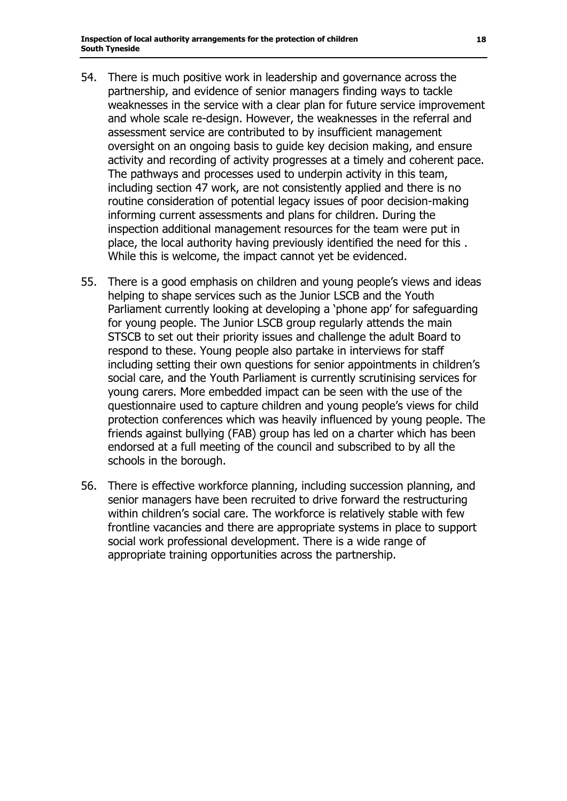- 54. There is much positive work in leadership and governance across the partnership, and evidence of senior managers finding ways to tackle weaknesses in the service with a clear plan for future service improvement and whole scale re-design. However, the weaknesses in the referral and assessment service are contributed to by insufficient management oversight on an ongoing basis to guide key decision making, and ensure activity and recording of activity progresses at a timely and coherent pace. The pathways and processes used to underpin activity in this team, including section 47 work, are not consistently applied and there is no routine consideration of potential legacy issues of poor decision-making informing current assessments and plans for children. During the inspection additional management resources for the team were put in place, the local authority having previously identified the need for this . While this is welcome, the impact cannot yet be evidenced.
- 55. There is a good emphasis on children and young people's views and ideas helping to shape services such as the Junior LSCB and the Youth Parliament currently looking at developing a 'phone app' for safeguarding for young people. The Junior LSCB group regularly attends the main STSCB to set out their priority issues and challenge the adult Board to respond to these. Young people also partake in interviews for staff including setting their own questions for senior appointments in children's social care, and the Youth Parliament is currently scrutinising services for young carers. More embedded impact can be seen with the use of the questionnaire used to capture children and young people's views for child protection conferences which was heavily influenced by young people. The friends against bullying (FAB) group has led on a charter which has been endorsed at a full meeting of the council and subscribed to by all the schools in the borough.
- 56. There is effective workforce planning, including succession planning, and senior managers have been recruited to drive forward the restructuring within children's social care. The workforce is relatively stable with few frontline vacancies and there are appropriate systems in place to support social work professional development. There is a wide range of appropriate training opportunities across the partnership.